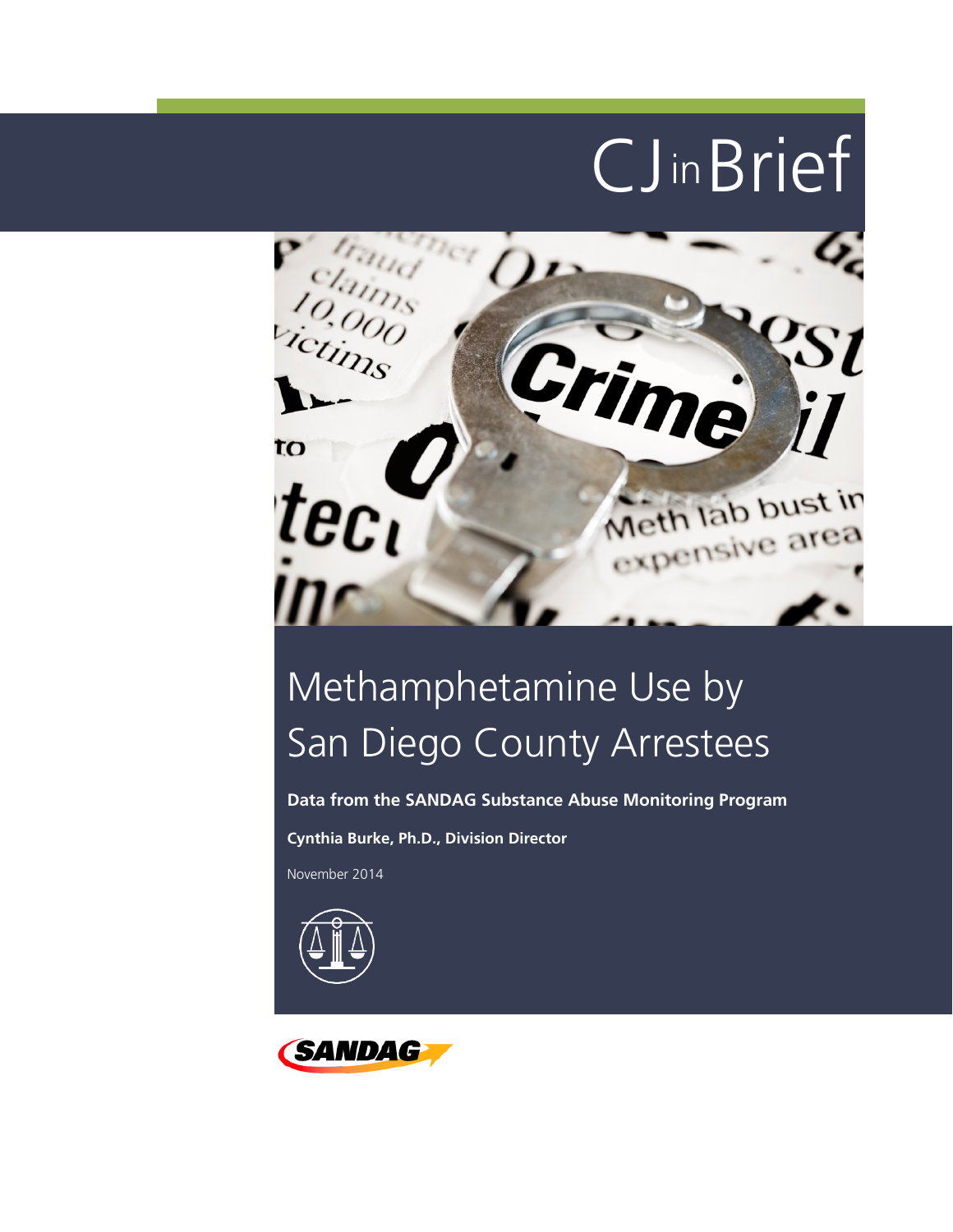

# Methamphetamine Use by San Diego County Arrestees

**Data from the SANDAG Substance Abuse Monitoring Program**

**Cynthia Burke, Ph.D., Division Director**

November 2014



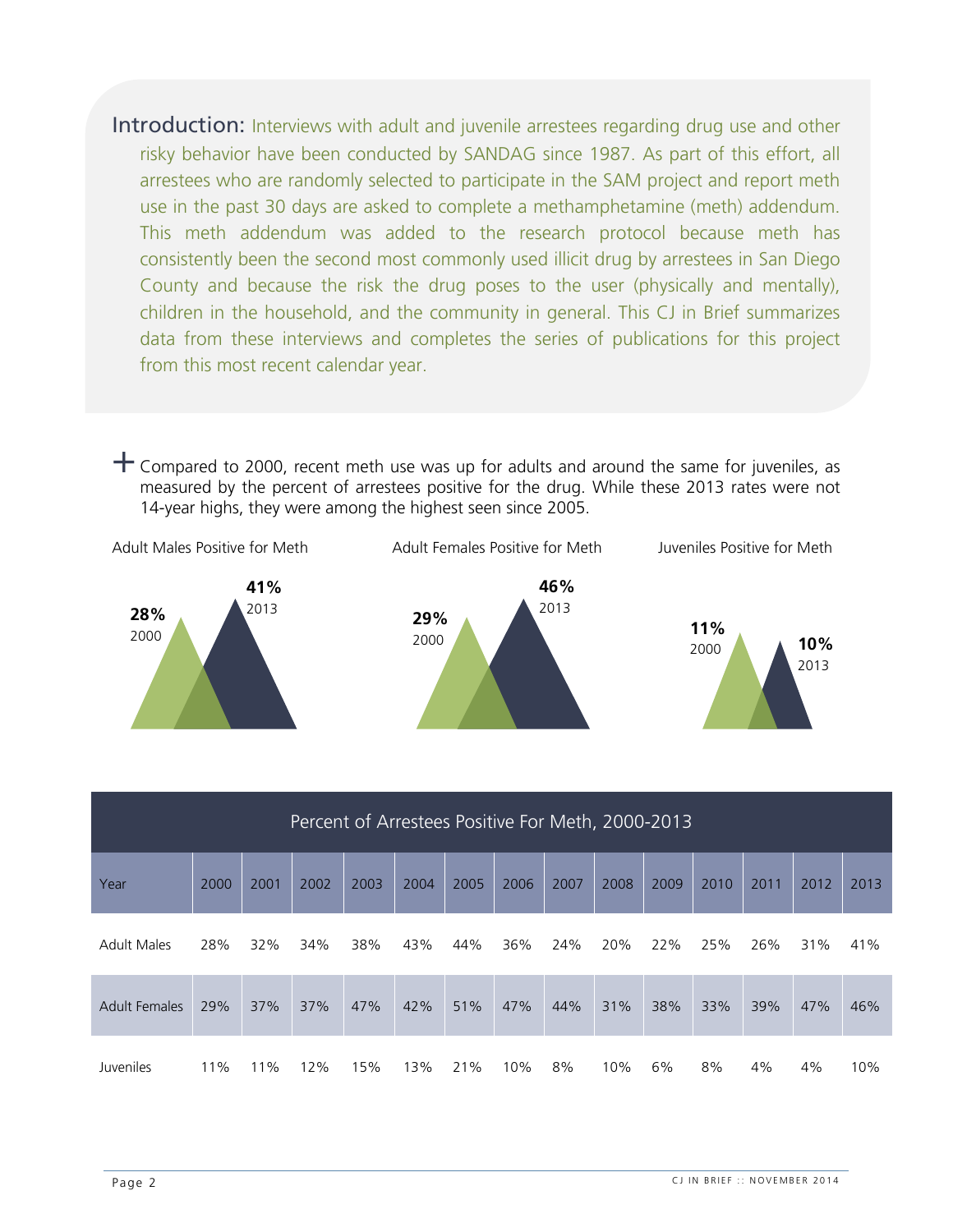Introduction: Interviews with adult and juvenile arrestees regarding drug use and other risky behavior have been conducted by SANDAG since 1987. As part of this effort, all arrestees who are randomly selected to participate in the SAM project and report meth use in the past 30 days are asked to complete a methamphetamine (meth) addendum. This meth addendum was added to the research protocol because meth has consistently been the second most commonly used illicit drug by arrestees in San Diego County and because the risk the drug poses to the user (physically and mentally), children in the household, and the community in general. This CJ in Brief summarizes data from these interviews and completes the series of publications for this project from this most recent calendar year.

 $+$  Compared to 2000, recent meth use was up for adults and around the same for juveniles, as measured by the percent of arrestees positive for the drug. While these 2013 rates were not 14-year highs, they were among the highest seen since 2005.



| Percent of Arrestees Positive For Meth, 2000-2013 |      |      |      |      |      |      |      |      |      |      |      |      |      |      |
|---------------------------------------------------|------|------|------|------|------|------|------|------|------|------|------|------|------|------|
| Year                                              | 2000 | 2001 | 2002 | 2003 | 2004 | 2005 | 2006 | 2007 | 2008 | 2009 | 2010 | 2011 | 2012 | 2013 |
| <b>Adult Males</b>                                | 28%  | 32%  | 34%  | 38%  | 43%  | 44%  | 36%  | 24%  | 20%  | 22%  | 25%  | 26%  | 31%  | 41%  |
| <b>Adult Females</b>                              | 29%  | 37%  | 37%  | 47%  | 42%  | 51%  | 47%  | 44%  | 31%  | 38%  | 33%  | 39%  | 47%  | 46%  |
| Juveniles                                         | 11%  | 11%  | 12%  | 15%  | 13%  | 21%  | 10%  | 8%   | 10%  | 6%   | 8%   | 4%   | 4%   | 10%  |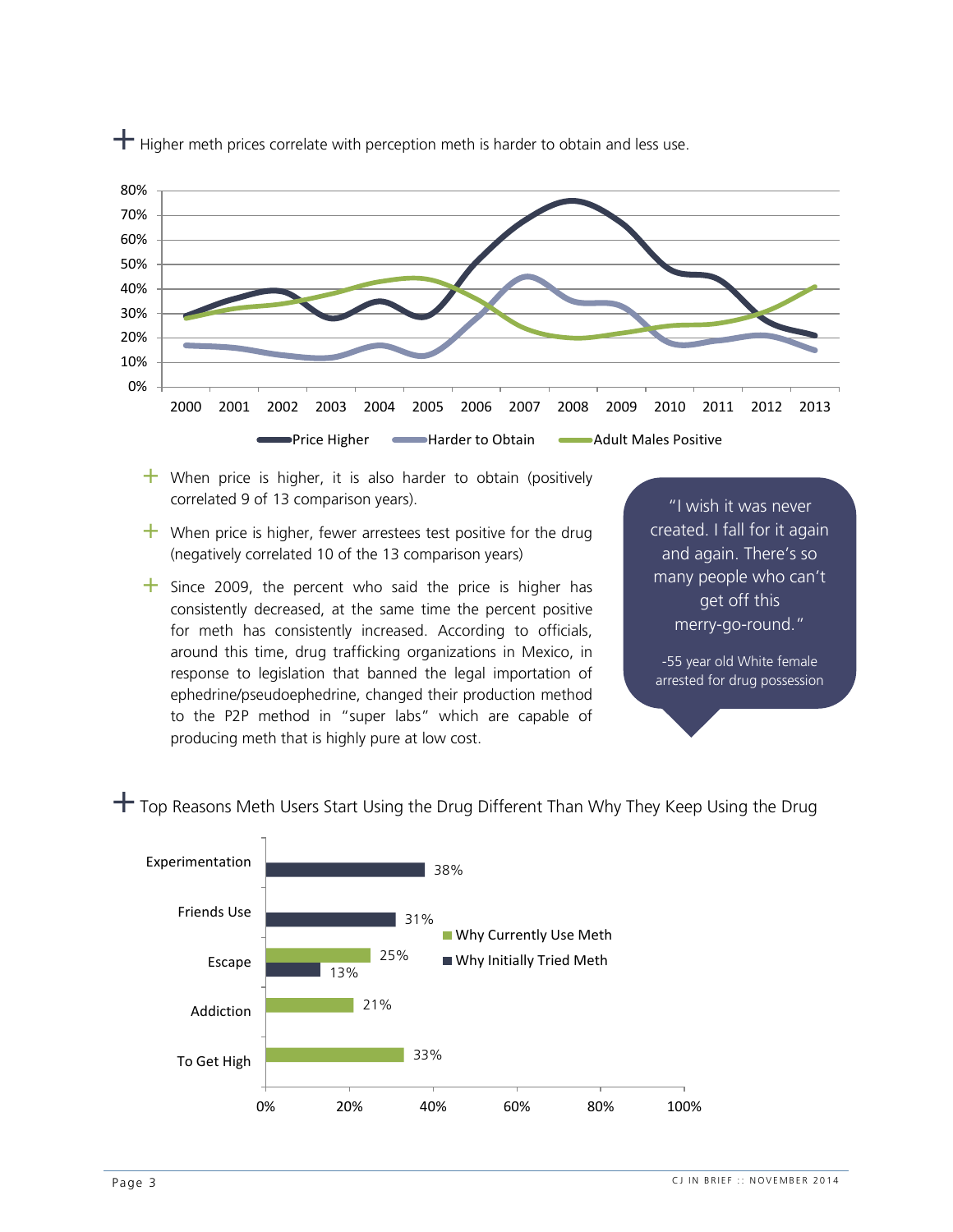

 $+$  Higher meth prices correlate with perception meth is harder to obtain and less use.

- $+$  When price is higher, it is also harder to obtain (positively correlated 9 of 13 comparison years).
- $+$  When price is higher, fewer arrestees test positive for the drug (negatively correlated 10 of the 13 comparison years)
- $+$  Since 2009, the percent who said the price is higher has consistently decreased, at the same time the percent positive for meth has consistently increased. According to officials, around this time, drug trafficking organizations in Mexico, in response to legislation that banned the legal importation of ephedrine/pseudoephedrine, changed their production method to the P2P method in "super labs" which are capable of producing meth that is highly pure at low cost.

"I wish it was never created. I fall for it again and again. There's so many people who can't get off this merry-go-round."

-55 year old White female arrested for drug possession

 $+$  Top Reasons Meth Users Start Using the Drug Different Than Why They Keep Using the Drug

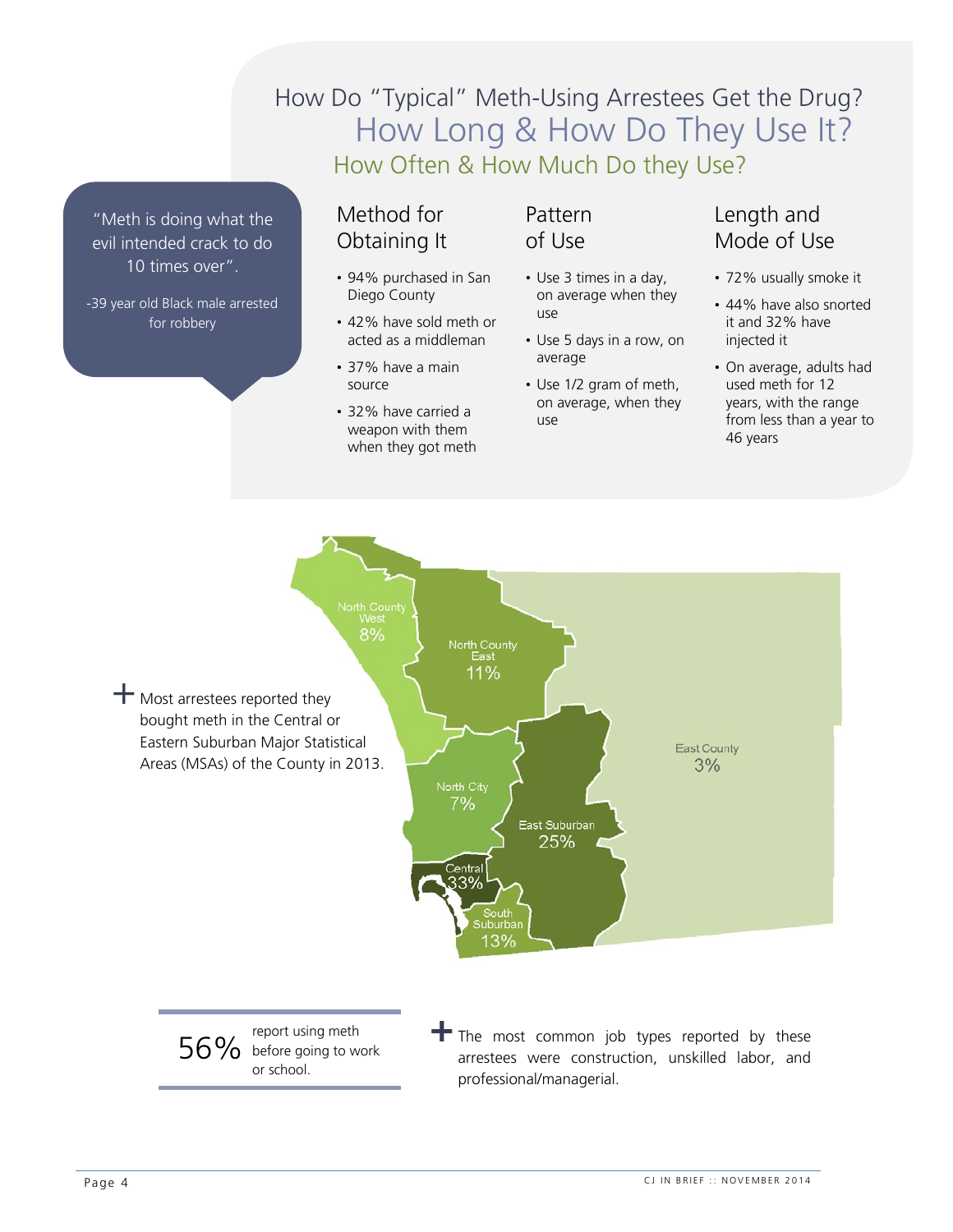## How Long & How Do They Use It? How Often & How Much Do they Use? How Do "Typical" Meth-Using Arrestees Get the Drug?

"Meth is doing what the evil intended crack to do 10 times over".

-39 year old Black male arrested for robbery

#### Method for Obtaining It

- 94% purchased in San Diego County
- 42% have sold meth or acted as a middleman
- 37% have a main source
- 32% have carried a weapon with them when they got meth

#### Pattern of Use

- Use 3 times in a day, on average when they use
- Use 5 days in a row, on average
- Use 1/2 gram of meth, on average, when they use

### Length and Mode of Use

- 72% usually smoke it
- 44% have also snorted it and 32% have injected it
- On average, adults had used meth for 12 years, with the range from less than a year to 46 years



arrestees were construction, unskilled labor, and professional/managerial.

or school.